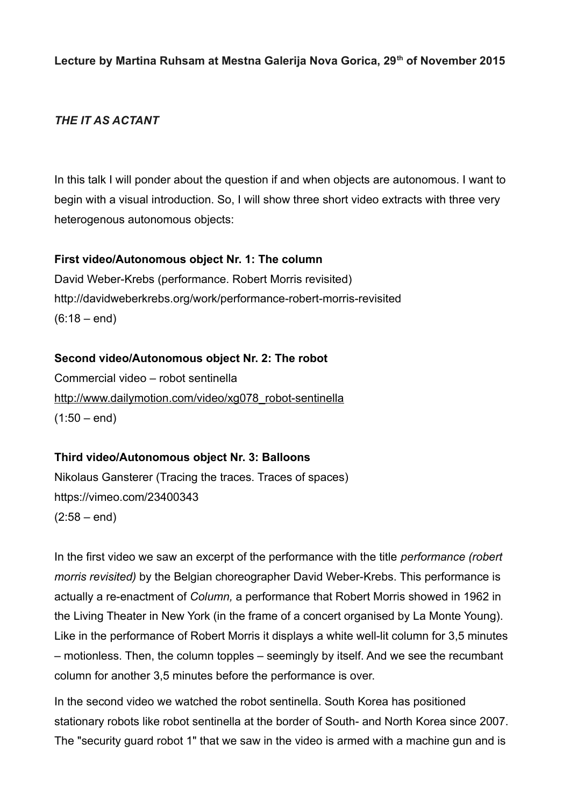**Lecture by Martina Ruhsam at Mestna Galerija Nova Gorica, 29th of November 2015**

# *THE IT AS ACTANT*

In this talk I will ponder about the question if and when objects are autonomous. I want to begin with a visual introduction. So, I will show three short video extracts with three very heterogenous autonomous objects:

### **First video/Autonomous object Nr. 1: The column**

David Weber-Krebs (performance. Robert Morris revisited) http://davidweberkrebs.org/work/performance-robert-morris-revisited  $(6:18 - end)$ 

# **Second video/Autonomous object Nr. 2: The robot**

Commercial video – robot sentinella [http://www.dailymotion.com/video/xg078\\_robot-sentinella](http://www.dailymotion.com/video/xg078_robot-sentinella)  $(1:50 - end)$ 

#### **Third video/Autonomous object Nr. 3: Balloons**

Nikolaus Gansterer (Tracing the traces. Traces of spaces) <https://vimeo.com/23400343>  $(2:58 - end)$ 

In the first video we saw an excerpt of the performance with the title *performance (robert morris revisited)* by the Belgian choreographer David Weber-Krebs. This performance is actually a re-enactment of *Column,* a performance that Robert Morris showed in 1962 in the Living Theater in New York (in the frame of a concert organised by La Monte Young). Like in the performance of Robert Morris it displays a white well-lit column for 3,5 minutes – motionless. Then, the column topples – seemingly by itself. And we see the recumbant column for another 3,5 minutes before the performance is over.

In the second video we watched the robot sentinella. South Korea has positioned stationary robots like robot sentinella at the border of South- and North Korea since 2007. The "security guard robot 1" that we saw in the video is armed with a machine gun and is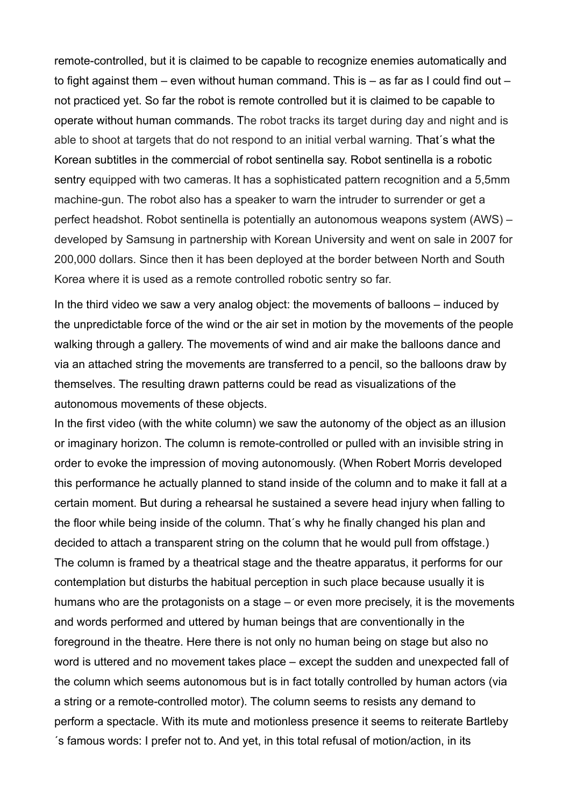remote-controlled, but it is claimed to be capable to recognize enemies automatically and to fight against them – even without human command. This is – as far as I could find out – not practiced yet. So far the robot is remote controlled but it is claimed to be capable to operate without human commands. The robot tracks its target during day and night and is able to shoot at targets that do not respond to an initial verbal warning. That´s what the Korean subtitles in the commercial of robot sentinella say. Robot sentinella is a robotic sentry equipped with two cameras. It has a sophisticated pattern recognition and a 5,5mm machine-gun. The robot also has a speaker to warn the intruder to surrender or get a perfect headshot. Robot sentinella is potentially an autonomous weapons system (AWS) – developed by Samsung in partnership with Korean University and went on sale in 2007 for 200,000 dollars. Since then it has been deployed at the border between North and South Korea where it is used as a remote controlled robotic sentry so far.

In the third video we saw a very analog object: the movements of balloons – induced by the unpredictable force of the wind or the air set in motion by the movements of the people walking through a gallery. The movements of wind and air make the balloons dance and via an attached string the movements are transferred to a pencil, so the balloons draw by themselves. The resulting drawn patterns could be read as visualizations of the autonomous movements of these objects.

In the first video (with the white column) we saw the autonomy of the object as an illusion or imaginary horizon. The column is remote-controlled or pulled with an invisible string in order to evoke the impression of moving autonomously. (When Robert Morris developed this performance he actually planned to stand inside of the column and to make it fall at a certain moment. But during a rehearsal he sustained a severe head injury when falling to the floor while being inside of the column. That´s why he finally changed his plan and decided to attach a transparent string on the column that he would pull from offstage.) The column is framed by a theatrical stage and the theatre apparatus, it performs for our contemplation but disturbs the habitual perception in such place because usually it is humans who are the protagonists on a stage – or even more precisely, it is the movements and words performed and uttered by human beings that are conventionally in the foreground in the theatre. Here there is not only no human being on stage but also no word is uttered and no movement takes place – except the sudden and unexpected fall of the column which seems autonomous but is in fact totally controlled by human actors (via a string or a remote-controlled motor). The column seems to resists any demand to perform a spectacle. With its mute and motionless presence it seems to reiterate Bartleby ´s famous words: I prefer not to. And yet, in this total refusal of motion/action, in its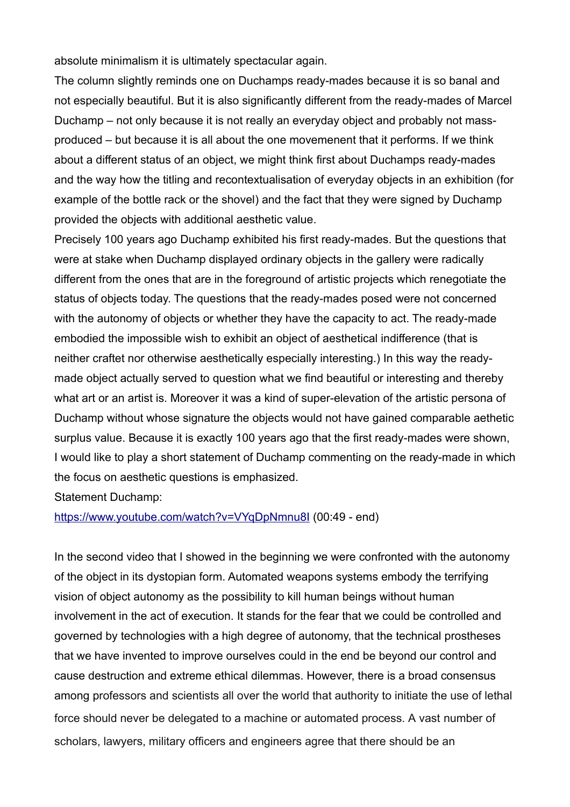absolute minimalism it is ultimately spectacular again.

The column slightly reminds one on Duchamps ready-mades because it is so banal and not especially beautiful. But it is also significantly different from the ready-mades of Marcel Duchamp – not only because it is not really an everyday object and probably not massproduced – but because it is all about the one movemenent that it performs. If we think about a different status of an object, we might think first about Duchamps ready-mades and the way how the titling and recontextualisation of everyday objects in an exhibition (for example of the bottle rack or the shovel) and the fact that they were signed by Duchamp provided the objects with additional aesthetic value.

Precisely 100 years ago Duchamp exhibited his first ready-mades. But the questions that were at stake when Duchamp displayed ordinary objects in the gallery were radically different from the ones that are in the foreground of artistic projects which renegotiate the status of objects today. The questions that the ready-mades posed were not concerned with the autonomy of objects or whether they have the capacity to act. The ready-made embodied the impossible wish to exhibit an object of aesthetical indifference (that is neither craftet nor otherwise aesthetically especially interesting.) In this way the readymade object actually served to question what we find beautiful or interesting and thereby what art or an artist is. Moreover it was a kind of super-elevation of the artistic persona of Duchamp without whose signature the objects would not have gained comparable aethetic surplus value. Because it is exactly 100 years ago that the first ready-mades were shown, I would like to play a short statement of Duchamp commenting on the ready-made in which the focus on aesthetic questions is emphasized.

Statement Duchamp:

<https://www.youtube.com/watch?v=VYqDpNmnu8I>(00:49 - end)

In the second video that I showed in the beginning we were confronted with the autonomy of the object in its dystopian form. Automated weapons systems embody the terrifying vision of object autonomy as the possibility to kill human beings without human involvement in the act of execution. It stands for the fear that we could be controlled and governed by technologies with a high degree of autonomy, that the technical prostheses that we have invented to improve ourselves could in the end be beyond our control and cause destruction and extreme ethical dilemmas. However, there is a broad consensus among professors and scientists all over the world that authority to initiate the use of lethal force should never be delegated to a machine or automated process. A vast number of scholars, lawyers, military officers and engineers agree that there should be an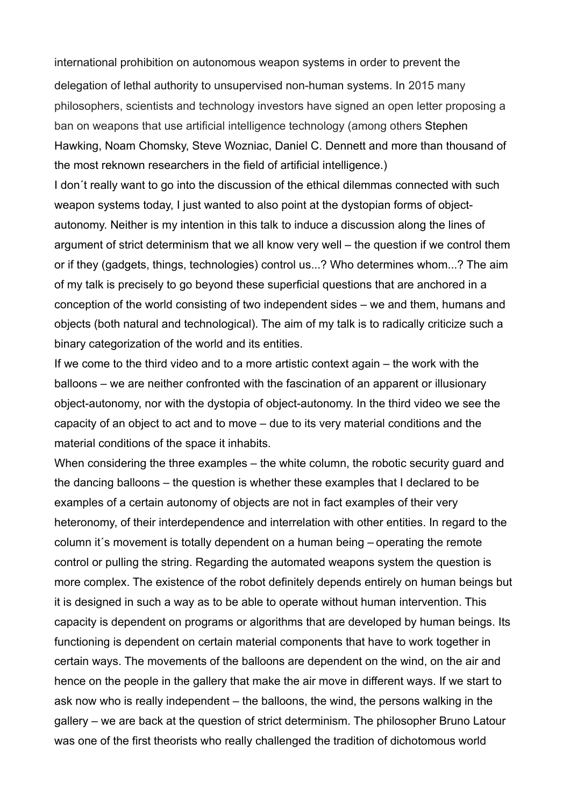international prohibition on autonomous weapon systems in order to prevent the delegation of lethal authority to unsupervised non-human systems. In 2015 many philosophers, scientists and technology investors have signed an open letter proposing a ban on weapons that use artificial intelligence technology (among others Stephen Hawking, Noam Chomsky, Steve Wozniac, Daniel C. Dennett and more than thousand of the most reknown researchers in the field of artificial intelligence.)

I don´t really want to go into the discussion of the ethical dilemmas connected with such weapon systems today, I just wanted to also point at the dystopian forms of objectautonomy. Neither is my intention in this talk to induce a discussion along the lines of argument of strict determinism that we all know very well – the question if we control them or if they (gadgets, things, technologies) control us...? Who determines whom...? The aim of my talk is precisely to go beyond these superficial questions that are anchored in a conception of the world consisting of two independent sides – we and them, humans and objects (both natural and technological). The aim of my talk is to radically criticize such a binary categorization of the world and its entities.

If we come to the third video and to a more artistic context again – the work with the balloons – we are neither confronted with the fascination of an apparent or illusionary object-autonomy, nor with the dystopia of object-autonomy. In the third video we see the capacity of an object to act and to move – due to its very material conditions and the material conditions of the space it inhabits.

When considering the three examples – the white column, the robotic security guard and the dancing balloons – the question is whether these examples that I declared to be examples of a certain autonomy of objects are not in fact examples of their very heteronomy, of their interdependence and interrelation with other entities. In regard to the column it´s movement is totally dependent on a human being – operating the remote control or pulling the string. Regarding the automated weapons system the question is more complex. The existence of the robot definitely depends entirely on human beings but it is designed in such a way as to be able to operate without human intervention. This capacity is dependent on programs or algorithms that are developed by human beings. Its functioning is dependent on certain material components that have to work together in certain ways. The movements of the balloons are dependent on the wind, on the air and hence on the people in the gallery that make the air move in different ways. If we start to ask now who is really independent – the balloons, the wind, the persons walking in the gallery – we are back at the question of strict determinism. The philosopher Bruno Latour was one of the first theorists who really challenged the tradition of dichotomous world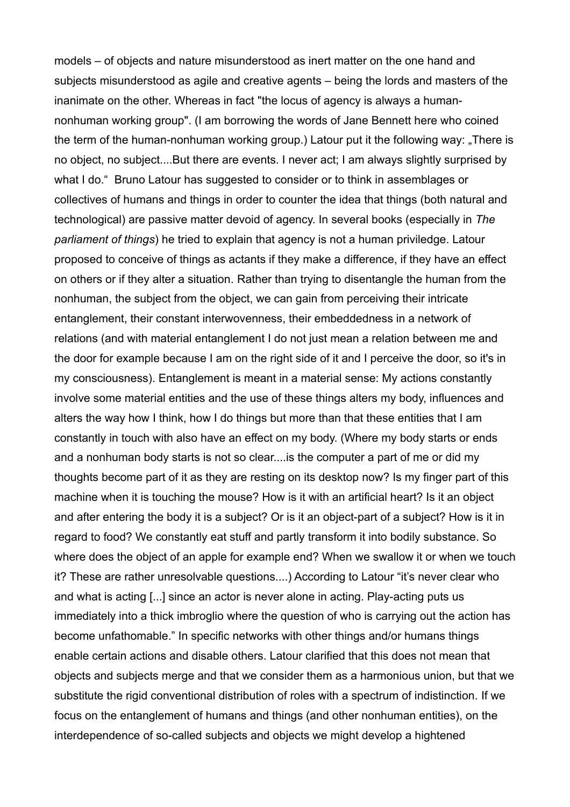models – of objects and nature misunderstood as inert matter on the one hand and subjects misunderstood as agile and creative agents – being the lords and masters of the inanimate on the other. Whereas in fact "the locus of agency is always a humannonhuman working group". (I am borrowing the words of Jane Bennett here who coined the term of the human-nonhuman working group.) Latour put it the following way: "There is no object, no subject....But there are events. I never act; I am always slightly surprised by what I do." Bruno Latour has suggested to consider or to think in assemblages or collectives of humans and things in order to counter the idea that things (both natural and technological) are passive matter devoid of agency. In several books (especially in *The parliament of things*) he tried to explain that agency is not a human priviledge. Latour proposed to conceive of things as actants if they make a difference, if they have an effect on others or if they alter a situation. Rather than trying to disentangle the human from the nonhuman, the subject from the object, we can gain from perceiving their intricate entanglement, their constant interwovenness, their embeddedness in a network of relations (and with material entanglement I do not just mean a relation between me and the door for example because I am on the right side of it and I perceive the door, so it's in my consciousness). Entanglement is meant in a material sense: My actions constantly involve some material entities and the use of these things alters my body, influences and alters the way how I think, how I do things but more than that these entities that I am constantly in touch with also have an effect on my body. (Where my body starts or ends and a nonhuman body starts is not so clear....is the computer a part of me or did my thoughts become part of it as they are resting on its desktop now? Is my finger part of this machine when it is touching the mouse? How is it with an artificial heart? Is it an object and after entering the body it is a subject? Or is it an object-part of a subject? How is it in regard to food? We constantly eat stuff and partly transform it into bodily substance. So where does the object of an apple for example end? When we swallow it or when we touch it? These are rather unresolvable questions....) According to Latour "it's never clear who and what is acting [...] since an actor is never alone in acting. Play-acting puts us immediately into a thick imbroglio where the question of who is carrying out the action has become unfathomable." In specific networks with other things and/or humans things enable certain actions and disable others. Latour clarified that this does not mean that objects and subjects merge and that we consider them as a harmonious union, but that we substitute the rigid conventional distribution of roles with a spectrum of indistinction. If we focus on the entanglement of humans and things (and other nonhuman entities), on the interdependence of so-called subjects and objects we might develop a hightened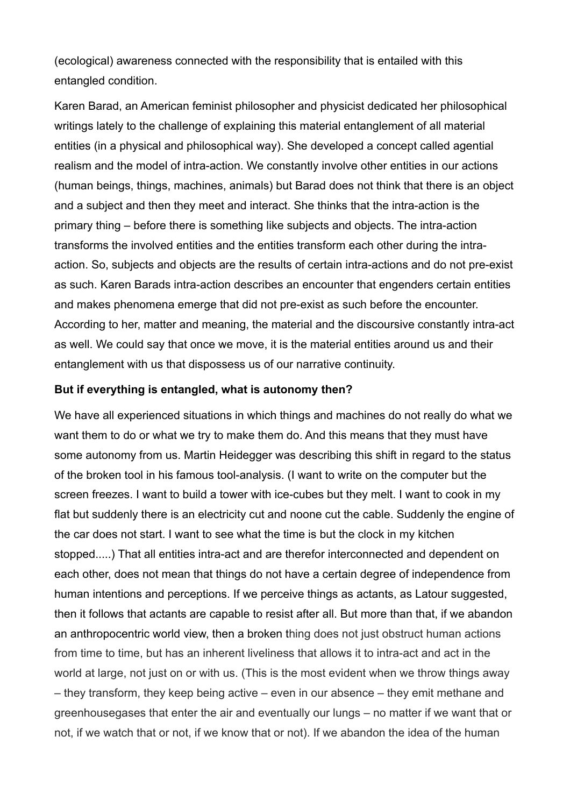(ecological) awareness connected with the responsibility that is entailed with this entangled condition.

Karen Barad, an American feminist philosopher and physicist dedicated her philosophical writings lately to the challenge of explaining this material entanglement of all material entities (in a physical and philosophical way). She developed a concept called agential realism and the model of intra-action. We constantly involve other entities in our actions (human beings, things, machines, animals) but Barad does not think that there is an object and a subject and then they meet and interact. She thinks that the intra-action is the primary thing – before there is something like subjects and objects. The intra-action transforms the involved entities and the entities transform each other during the intraaction. So, subjects and objects are the results of certain intra-actions and do not pre-exist as such. Karen Barads intra-action describes an encounter that engenders certain entities and makes phenomena emerge that did not pre-exist as such before the encounter. According to her, matter and meaning, the material and the discoursive constantly intra-act as well. We could say that once we move, it is the material entities around us and their entanglement with us that dispossess us of our narrative continuity.

#### **But if everything is entangled, what is autonomy then?**

We have all experienced situations in which things and machines do not really do what we want them to do or what we try to make them do. And this means that they must have some autonomy from us. Martin Heidegger was describing this shift in regard to the status of the broken tool in his famous tool-analysis. (I want to write on the computer but the screen freezes. I want to build a tower with ice-cubes but they melt. I want to cook in my flat but suddenly there is an electricity cut and noone cut the cable. Suddenly the engine of the car does not start. I want to see what the time is but the clock in my kitchen stopped.....) That all entities intra-act and are therefor interconnected and dependent on each other, does not mean that things do not have a certain degree of independence from human intentions and perceptions. If we perceive things as actants, as Latour suggested, then it follows that actants are capable to resist after all. But more than that, if we abandon an anthropocentric world view, then a broken thing does not just obstruct human actions from time to time, but has an inherent liveliness that allows it to intra-act and act in the world at large, not just on or with us. (This is the most evident when we throw things away – they transform, they keep being active – even in our absence – they emit methane and greenhousegases that enter the air and eventually our lungs – no matter if we want that or not, if we watch that or not, if we know that or not). If we abandon the idea of the human